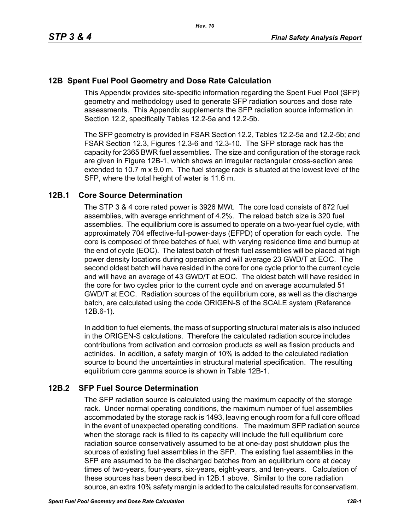# **12B Spent Fuel Pool Geometry and Dose Rate Calculation**

This Appendix provides site-specific information regarding the Spent Fuel Pool (SFP) geometry and methodology used to generate SFP radiation sources and dose rate assessments. This Appendix supplements the SFP radiation source information in Section 12.2, specifically Tables 12.2-5a and 12.2-5b.

The SFP geometry is provided in FSAR Section 12.2, Tables 12.2-5a and 12.2-5b; and FSAR Section 12.3, Figures 12.3-6 and 12.3-10. The SFP storage rack has the capacity for 2365 BWR fuel assemblies. The size and configuration of the storage rack are given in Figure 12B-1, which shows an irregular rectangular cross-section area extended to 10.7 m x 9.0 m. The fuel storage rack is situated at the lowest level of the SFP, where the total height of water is 11.6 m.

### **12B.1 Core Source Determination**

The STP 3 & 4 core rated power is 3926 MWt. The core load consists of 872 fuel assemblies, with average enrichment of 4.2%. The reload batch size is 320 fuel assemblies. The equilibrium core is assumed to operate on a two-year fuel cycle, with approximately 704 effective-full-power-days (EFPD) of operation for each cycle. The core is composed of three batches of fuel, with varying residence time and burnup at the end of cycle (EOC). The latest batch of fresh fuel assemblies will be placed at high power density locations during operation and will average 23 GWD/T at EOC. The second oldest batch will have resided in the core for one cycle prior to the current cycle and will have an average of 43 GWD/T at EOC. The oldest batch will have resided in the core for two cycles prior to the current cycle and on average accumulated 51 GWD/T at EOC. Radiation sources of the equilibrium core, as well as the discharge batch, are calculated using the code ORIGEN-S of the SCALE system (Reference 12B.6-1).

In addition to fuel elements, the mass of supporting structural materials is also included in the ORIGEN-S calculations. Therefore the calculated radiation source includes contributions from activation and corrosion products as well as fission products and actinides. In addition, a safety margin of 10% is added to the calculated radiation source to bound the uncertainties in structural material specification. The resulting equilibrium core gamma source is shown in Table 12B-1.

# **12B.2 SFP Fuel Source Determination**

The SFP radiation source is calculated using the maximum capacity of the storage rack. Under normal operating conditions, the maximum number of fuel assemblies accommodated by the storage rack is 1493, leaving enough room for a full core offload in the event of unexpected operating conditions. The maximum SFP radiation source when the storage rack is filled to its capacity will include the full equilibrium core radiation source conservatively assumed to be at one-day post shutdown plus the sources of existing fuel assemblies in the SFP. The existing fuel assemblies in the SFP are assumed to be the discharged batches from an equilibrium core at decay times of two-years, four-years, six-years, eight-years, and ten-years. Calculation of these sources has been described in 12B.1 above. Similar to the core radiation source, an extra 10% safety margin is added to the calculated results for conservatism.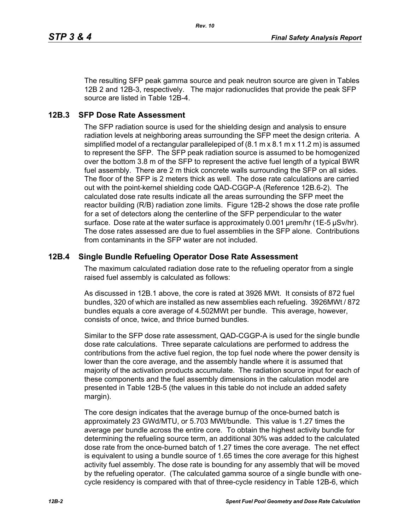The resulting SFP peak gamma source and peak neutron source are given in Tables 12B 2 and 12B-3, respectively. The major radionuclides that provide the peak SFP source are listed in Table 12B-4.

#### **12B.3 SFP Dose Rate Assessment**

The SFP radiation source is used for the shielding design and analysis to ensure radiation levels at neighboring areas surrounding the SFP meet the design criteria. A simplified model of a rectangular parallelepiped of (8.1 m x 8.1 m x 11.2 m) is assumed to represent the SFP. The SFP peak radiation source is assumed to be homogenized over the bottom 3.8 m of the SFP to represent the active fuel length of a typical BWR fuel assembly. There are 2 m thick concrete walls surrounding the SFP on all sides. The floor of the SFP is 2 meters thick as well. The dose rate calculations are carried out with the point-kernel shielding code QAD-CGGP-A (Reference 12B.6-2). The calculated dose rate results indicate all the areas surrounding the SFP meet the reactor building (R/B) radiation zone limits. Figure 12B-2 shows the dose rate profile for a set of detectors along the centerline of the SFP perpendicular to the water surface. Dose rate at the water surface is approximately 0.001 µrem/hr (1E-5 µSv/hr). The dose rates assessed are due to fuel assemblies in the SFP alone. Contributions from contaminants in the SFP water are not included.

#### **12B.4 Single Bundle Refueling Operator Dose Rate Assessment**

The maximum calculated radiation dose rate to the refueling operator from a single raised fuel assembly is calculated as follows:

As discussed in 12B.1 above, the core is rated at 3926 MWt. It consists of 872 fuel bundles, 320 of which are installed as new assemblies each refueling. 3926MWt / 872 bundles equals a core average of 4.502MWt per bundle. This average, however, consists of once, twice, and thrice burned bundles.

Similar to the SFP dose rate assessment, QAD-CGGP-A is used for the single bundle dose rate calculations. Three separate calculations are performed to address the contributions from the active fuel region, the top fuel node where the power density is lower than the core average, and the assembly handle where it is assumed that majority of the activation products accumulate. The radiation source input for each of these components and the fuel assembly dimensions in the calculation model are presented in Table 12B-5 (the values in this table do not include an added safety margin).

The core design indicates that the average burnup of the once-burned batch is approximately 23 GWd/MTU, or 5.703 MWt/bundle. This value is 1.27 times the average per bundle across the entire core. To obtain the highest activity bundle for determining the refueling source term, an additional 30% was added to the calculated dose rate from the once-burned batch of 1.27 times the core average. The net effect is equivalent to using a bundle source of 1.65 times the core average for this highest activity fuel assembly. The dose rate is bounding for any assembly that will be moved by the refueling operator. (The calculated gamma source of a single bundle with onecycle residency is compared with that of three-cycle residency in Table 12B-6, which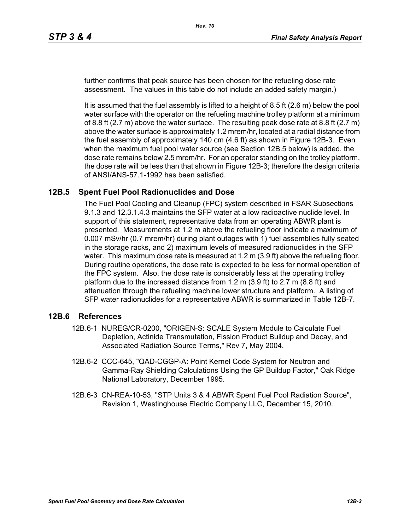further confirms that peak source has been chosen for the refueling dose rate assessment. The values in this table do not include an added safety margin.)

It is assumed that the fuel assembly is lifted to a height of 8.5 ft (2.6 m) below the pool water surface with the operator on the refueling machine trolley platform at a minimum of 8.8 ft  $(2.7 \text{ m})$  above the water surface. The resulting peak dose rate at 8.8 ft  $(2.7 \text{ m})$ above the water surface is approximately 1.2 mrem/hr, located at a radial distance from the fuel assembly of approximately 140 cm (4.6 ft) as shown in Figure 12B-3. Even when the maximum fuel pool water source (see Section 12B.5 below) is added, the dose rate remains below 2.5 mrem/hr. For an operator standing on the trolley platform, the dose rate will be less than that shown in Figure 12B-3; therefore the design criteria of ANSI/ANS-57.1-1992 has been satisfied.

#### **12B.5 Spent Fuel Pool Radionuclides and Dose**

The Fuel Pool Cooling and Cleanup (FPC) system described in FSAR Subsections 9.1.3 and 12.3.1.4.3 maintains the SFP water at a low radioactive nuclide level. In support of this statement, representative data from an operating ABWR plant is presented. Measurements at 1.2 m above the refueling floor indicate a maximum of 0.007 mSv/hr (0.7 mrem/hr) during plant outages with 1) fuel assemblies fully seated in the storage racks, and 2) maximum levels of measured radionuclides in the SFP water. This maximum dose rate is measured at 1.2 m (3.9 ft) above the refueling floor. During routine operations, the dose rate is expected to be less for normal operation of the FPC system. Also, the dose rate is considerably less at the operating trolley platform due to the increased distance from 1.2 m (3.9 ft) to 2.7 m (8.8 ft) and attenuation through the refueling machine lower structure and platform. A listing of SFP water radionuclides for a representative ABWR is summarized in Table 12B-7.

#### **12B.6 References**

- 12B.6-1 NUREG/CR-0200, "ORIGEN-S: SCALE System Module to Calculate Fuel Depletion, Actinide Transmutation, Fission Product Buildup and Decay, and Associated Radiation Source Terms," Rev 7, May 2004.
- 12B.6-2 CCC-645, "QAD-CGGP-A: Point Kernel Code System for Neutron and Gamma-Ray Shielding Calculations Using the GP Buildup Factor," Oak Ridge National Laboratory, December 1995.
- 12B.6-3 CN-REA-10-53, "STP Units 3 & 4 ABWR Spent Fuel Pool Radiation Source", Revision 1, Westinghouse Electric Company LLC, December 15, 2010.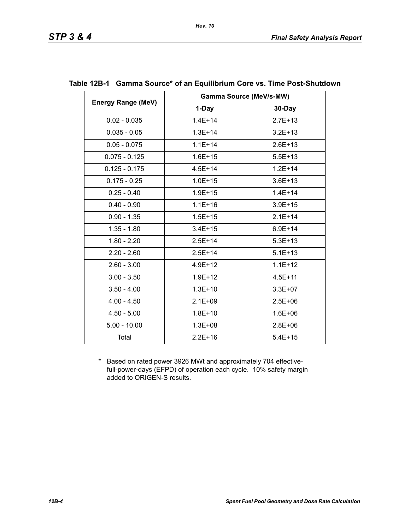|                           | <b>Gamma Source (MeV/s-MW)</b> |             |  |
|---------------------------|--------------------------------|-------------|--|
| <b>Energy Range (MeV)</b> | 1-Day                          | 30-Day      |  |
| $0.02 - 0.035$            | $1.4E + 14$                    | $2.7E + 13$ |  |
| $0.035 - 0.05$            | $1.3E + 14$                    | $3.2E + 13$ |  |
| $0.05 - 0.075$            | $1.1E + 14$                    | $2.6E + 13$ |  |
| $0.075 - 0.125$           | $1.6E + 15$                    | $5.5E + 13$ |  |
| $0.125 - 0.175$           | $4.5E + 14$                    | $1.2E + 14$ |  |
| $0.175 - 0.25$            | $1.0E + 15$                    | $3.6E + 13$ |  |
| $0.25 - 0.40$             | $1.9E + 15$                    | $1.4E + 14$ |  |
| $0.40 - 0.90$             | $1.1E + 16$                    | $3.9E + 15$ |  |
| $0.90 - 1.35$             | $1.5E + 15$                    | $2.1E + 14$ |  |
| $1.35 - 1.80$             | $3.4E + 15$                    | $6.9E + 14$ |  |
| $1.80 - 2.20$             | $2.5E + 14$                    | $5.3E + 13$ |  |
| $2.20 - 2.60$             | $2.5E+14$                      | $5.1E + 13$ |  |
| $2.60 - 3.00$             | $4.9E + 12$                    | $1.1E + 12$ |  |
| $3.00 - 3.50$             | $1.9E + 12$                    | $4.5E + 11$ |  |
| $3.50 - 4.00$             | $1.3E + 10$                    | $3.3E + 07$ |  |
| $4.00 - 4.50$             | $2.1E + 09$                    | $2.5E + 06$ |  |
| $4.50 - 5.00$             | $1.8E + 10$                    | $1.6E + 06$ |  |
| $5.00 - 10.00$            | $1.3E + 08$                    | $2.8E + 06$ |  |
| Total                     | $2.2E + 16$                    | $5.4E + 15$ |  |

#### **Table 12B-1 Gamma Source\* of an Equilibrium Core vs. Time Post-Shutdown**

*Rev. 10*

\* Based on rated power 3926 MWt and approximately 704 effectivefull-power-days (EFPD) of operation each cycle. 10% safety margin added to ORIGEN-S results.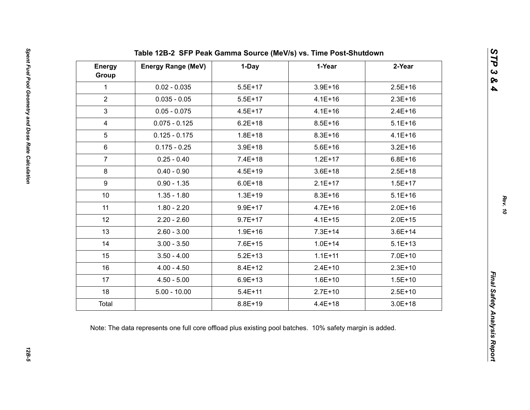| <b>Energy</b><br>Group | <b>Energy Range (MeV)</b> | 1-Day       | 1-Year      | 2-Year      |
|------------------------|---------------------------|-------------|-------------|-------------|
| $\mathbf{1}$           | $0.02 - 0.035$            | $5.5E+17$   | $3.9E + 16$ | $2.5E+16$   |
| $\overline{2}$         | $0.035 - 0.05$            | $5.5E+17$   | $4.1E + 16$ | $2.3E+16$   |
| $\mathfrak{S}$         | $0.05 - 0.075$            | $4.5E + 17$ | $4.1E + 16$ | $2.4E + 16$ |
| $\overline{4}$         | $0.075 - 0.125$           | $6.2E + 18$ | $8.5E + 16$ | $5.1E + 16$ |
| 5                      | $0.125 - 0.175$           | $1.8E + 18$ | $8.3E + 16$ | $4.1E + 16$ |
| $6\phantom{1}$         | $0.175 - 0.25$            | $3.9E + 18$ | $5.6E + 16$ | $3.2E + 16$ |
| $\overline{7}$         | $0.25 - 0.40$             | $7.4E + 18$ | $1.2E + 17$ | $6.8E + 16$ |
| 8                      | $0.40 - 0.90$             | $4.5E + 19$ | $3.6E + 18$ | $2.5E + 18$ |
| 9                      | $0.90 - 1.35$             | $6.0E + 18$ | $2.1E+17$   | $1.5E + 17$ |
| 10                     | $1.35 - 1.80$             | $1.3E + 19$ | $8.3E + 16$ | $5.1E + 16$ |
| 11                     | $1.80 - 2.20$             | $9.9E + 17$ | $4.7E + 16$ | $2.0E + 16$ |
| 12                     | $2.20 - 2.60$             | $9.7E + 17$ | $4.1E + 15$ | $2.0E + 15$ |
| 13                     | $2.60 - 3.00$             | $1.9E + 16$ | $7.3E + 14$ | $3.6E + 14$ |
| 14                     | $3.00 - 3.50$             | $7.6E + 15$ | $1.0E + 14$ | $5.1E + 13$ |
| 15                     | $3.50 - 4.00$             | $5.2E + 13$ | $1.1E + 11$ | $7.0E + 10$ |
| 16                     | $4.00 - 4.50$             | $8.4E + 12$ | $2.4E+10$   | $2.3E+10$   |
| 17                     | $4.50 - 5.00$             | $6.9E + 13$ | $1.6E + 10$ | $1.5E + 10$ |
| 18                     | $5.00 - 10.00$            | $5.4E + 11$ | $2.7E+10$   | $2.5E+10$   |
| Total                  |                           | $8.8E + 19$ | $4.4E + 18$ | $3.0E + 18$ |

*STP 3 & 4*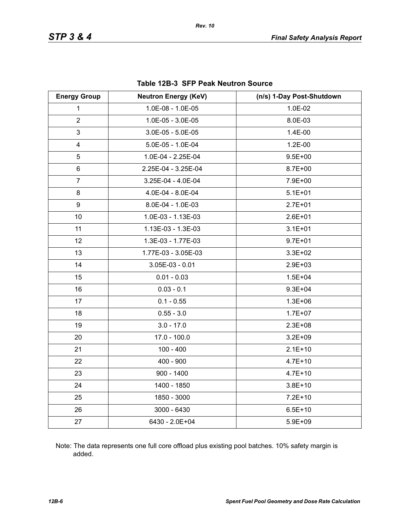| <b>Energy Group</b>     | <b>Neutron Energy (KeV)</b> | (n/s) 1-Day Post-Shutdown |
|-------------------------|-----------------------------|---------------------------|
| 1                       | 1.0E-08 - 1.0E-05           | 1.0E-02                   |
| $\overline{2}$          | 1.0E-05 - 3.0E-05           | 8.0E-03                   |
| 3                       | $3.0E-05 - 5.0E-05$         | 1.4E-00                   |
| $\overline{\mathbf{4}}$ | 5.0E-05 - 1.0E-04           | 1.2E-00                   |
| 5                       | 1.0E-04 - 2.25E-04          | $9.5E + 00$               |
| 6                       | 2.25E-04 - 3.25E-04         | $8.7E + 00$               |
| $\overline{7}$          | 3.25E-04 - 4.0E-04          | 7.9E+00                   |
| 8                       | 4.0E-04 - 8.0E-04           | $5.1E + 01$               |
| 9                       | 8.0E-04 - 1.0E-03           | $2.7E + 01$               |
| 10                      | 1.0E-03 - 1.13E-03          | $2.6E + 01$               |
| 11                      | 1.13E-03 - 1.3E-03          | $3.1E + 01$               |
| 12                      | 1.3E-03 - 1.77E-03          | $9.7E + 01$               |
| 13                      | 1.77E-03 - 3.05E-03         | $3.3E + 02$               |
| 14                      | $3.05E-03 - 0.01$           | $2.9E + 03$               |
| 15                      | $0.01 - 0.03$               | $1.5E + 04$               |
| 16                      | $0.03 - 0.1$                | $9.3E + 04$               |
| 17                      | $0.1 - 0.55$                | $1.3E + 06$               |
| 18                      | $0.55 - 3.0$                | $1.7E + 07$               |
| 19                      | $3.0 - 17.0$                | $2.3E + 08$               |
| 20                      | $17.0 - 100.0$              | $3.2E + 09$               |
| 21                      | $100 - 400$                 | $2.1E+10$                 |
| 22                      | $400 - 900$                 | $4.7E + 10$               |
| 23                      | $900 - 1400$                | $4.7E + 10$               |
| 24                      | 1400 - 1850                 | $3.8E + 10$               |
| 25                      | 1850 - 3000                 | $7.2E+10$                 |
| 26                      | 3000 - 6430                 | $6.5E + 10$               |
| 27                      | 6430 - 2.0E+04              | $5.9E + 09$               |

#### **Table 12B-3 SFP Peak Neutron Source**

Note: The data represents one full core offload plus existing pool batches. 10% safety margin is added.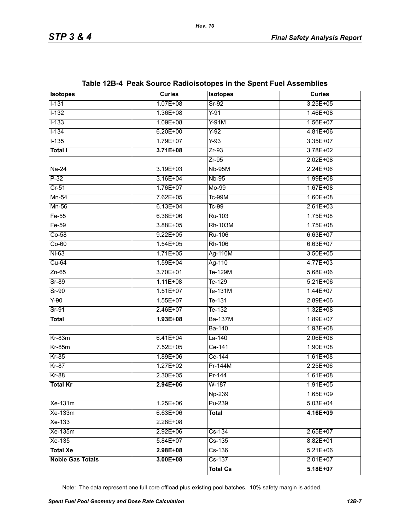| <b>Isotopes</b>         | <b>Curies</b> | <b>Isotopes</b> | <b>Curies</b> |
|-------------------------|---------------|-----------------|---------------|
| $1 - 131$               | $1.07E + 08$  | $Sr-92$         | $3.25E + 05$  |
| $1 - 132$               | 1.36E+08      | $Y-91$          | $1.46E + 08$  |
| $1 - 133$               | $1.09E + 08$  | $Y-91M$         | $1.56E+07$    |
| $1 - 134$               | $6.20E + 00$  | $Y-92$          | $4.81E + 06$  |
| $1 - 135$               | $1.79E+07$    | $Y-93$          | $3.35E + 07$  |
| <b>Total I</b>          | $3.71E + 08$  | $Zr-93$         | 3.78E+02      |
|                         |               | $Zr-95$         | $2.02E + 08$  |
| $Na-24$                 | $3.19E + 03$  | <b>Nb-95M</b>   | $2.24E + 06$  |
| $P-32$                  | $3.16E + 04$  | <b>Nb-95</b>    | $1.99E + 08$  |
| $Cr-51$                 | 1.76E+07      | $Mo-99$         | $1.67E + 08$  |
| $Mn-54$                 | $7.62E + 05$  | <b>Tc-99M</b>   | $1.60E + 08$  |
| $Mn-56$                 | $6.13E + 04$  | $Tc-99$         | $2.61E + 03$  |
| $Fe-55$                 | $6.38E + 06$  | Ru-103          | $1.75E + 08$  |
| $Fe-59$                 | 3.88E+05      | <b>Rh-103M</b>  | $1.75E + 08$  |
| $Co-58$                 | $9.22E + 05$  | <b>Ru-106</b>   | $6.63E + 07$  |
| $Co-60$                 | $1.54E + 05$  | Rh-106          | $6.63E + 07$  |
| $Ni-63$                 | $1.71E + 05$  | Ag-110M         | $3.50E + 05$  |
| $Cu-64$                 | $1.59E + 04$  | Ag-110          | $4.77E + 03$  |
| $Zn-65$                 | 3.70E+01      | Te-129M         | $5.68E + 06$  |
| $Sr-89$                 | $1.11E + 08$  | Te-129          | $5.21E + 06$  |
| $Sr-90$                 | $1.51E+07$    | Te-131M         | $1.44E + 07$  |
| $Y-90$                  | $1.55E+07$    | Te-131          | $2.89E + 06$  |
| $Sr-91$                 | $2.46E+07$    | $T_{e-132}$     | $1.32E + 08$  |
| <b>Total</b>            | $1.93E + 08$  | <b>Ba-137M</b>  | $1.89E+07$    |
|                         |               | <b>Ba-140</b>   | $1.93E + 08$  |
| $Kr-83m$                | $6.41E + 04$  | $La-140$        | $2.06E + 08$  |
| $Kr-85m$                | 7.52E+05      | Ce-141          | $1.90E + 08$  |
| $Kr-85$                 | $1.89E + 06$  | Ce-144          | $1.61E + 08$  |
| $Kr-87$                 | $1.27E+02$    | Pr-144M         | $2.25E + 06$  |
| $Kr-88$                 | $2.30E + 05$  | Pr-144          | $1.61E + 08$  |
| <b>Total Kr</b>         | $2.94E + 06$  | $W-187$         | $1.91E + 05$  |
|                         |               | Np-239          | 1.65E+09      |
| Xe-131m                 | $1.25E + 06$  | Pu-239          | $5.03E + 04$  |
| Xe-133m                 | $6.63E + 06$  | <b>Total</b>    | 4.16E+09      |
| Xe-133                  | 2.28E+08      |                 |               |
| Xe-135m                 | $2.92E + 06$  | $Cs-134$        | $2.65E+07$    |
| Xe-135                  | 5.84E+07      | $Cs-135$        | 8.82E+01      |
| <b>Total Xe</b>         | 2.98E+08      | $Cs-136$        | $5.21E + 06$  |
| <b>Noble Gas Totals</b> | $3.00E + 08$  | $Cs-137$        | $2.01E+07$    |
|                         |               | <b>Total Cs</b> | $5.18E+07$    |

# **Table 12B-4 Peak Source Radioisotopes in the Spent Fuel Assemblies**

Note: The data represent one full core offload plus existing pool batches. 10% safety margin is added.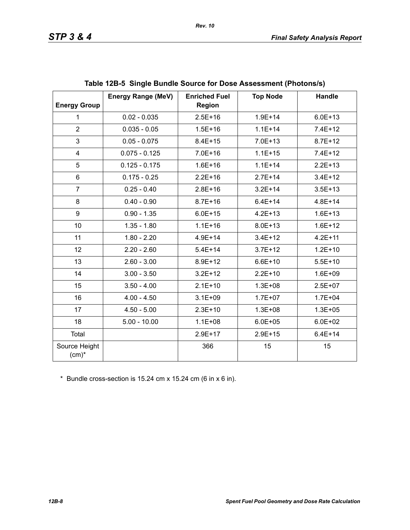|                           | <b>Energy Range (MeV)</b> | <b>Enriched Fuel</b> | <b>Top Node</b> | <b>Handle</b> |
|---------------------------|---------------------------|----------------------|-----------------|---------------|
| <b>Energy Group</b>       |                           | <b>Region</b>        |                 |               |
| $\mathbf{1}$              | $0.02 - 0.035$            | $2.5E + 16$          | $1.9E + 14$     | $6.0E + 13$   |
| $\overline{2}$            | $0.035 - 0.05$            | $1.5E + 16$          | $1.1E + 14$     | $7.4E+12$     |
| 3                         | $0.05 - 0.075$            | $8.4E + 15$          | $7.0E + 13$     | $8.7E + 12$   |
| $\overline{\mathbf{4}}$   | $0.075 - 0.125$           | $7.0E + 16$          | $1.1E + 15$     | $7.4E+12$     |
| 5                         | $0.125 - 0.175$           | $1.6E + 16$          | $1.1E + 14$     | $2.2E + 13$   |
| 6                         | $0.175 - 0.25$            | $2.2E + 16$          | $2.7E + 14$     | $3.4E + 12$   |
| $\overline{7}$            | $0.25 - 0.40$             | $2.8E + 16$          | $3.2E+14$       | $3.5E + 13$   |
| 8                         | $0.40 - 0.90$             | $8.7E + 16$          | $6.4E + 14$     | $4.8E + 14$   |
| 9                         | $0.90 - 1.35$             | $6.0E + 15$          | $4.2E + 13$     | $1.6E + 13$   |
| 10                        | $1.35 - 1.80$             | $1.1E + 16$          | $8.0E + 13$     | $1.6E + 12$   |
| 11                        | $1.80 - 2.20$             | $4.9E + 14$          | $3.4E + 12$     | $4.2E + 11$   |
| 12                        | $2.20 - 2.60$             | $5.4E + 14$          | $3.7E + 12$     | $1.2E + 10$   |
| 13                        | $2.60 - 3.00$             | 8.9E+12              | $6.6E + 10$     | $5.5E+10$     |
| 14                        | $3.00 - 3.50$             | $3.2E + 12$          | $2.2E+10$       | $1.6E + 09$   |
| 15                        | $3.50 - 4.00$             | $2.1E+10$            | $1.3E + 08$     | $2.5E+07$     |
| 16                        | $4.00 - 4.50$             | $3.1E + 09$          | $1.7E + 07$     | $1.7E + 04$   |
| 17                        | $4.50 - 5.00$             | $2.3E+10$            | $1.3E + 08$     | $1.3E + 05$   |
| 18                        | $5.00 - 10.00$            | $1.1E + 08$          | $6.0E + 05$     | $6.0E + 02$   |
| Total                     |                           | $2.9E+17$            | $2.9E + 15$     | $6.4E + 14$   |
| Source Height<br>$(cm)^*$ |                           | 366                  | 15              | 15            |

|  | Table 12B-5 Single Bundle Source for Dose Assessment (Photons/s) |  |
|--|------------------------------------------------------------------|--|
|--|------------------------------------------------------------------|--|

\* Bundle cross-section is 15.24 cm x 15.24 cm (6 in x 6 in).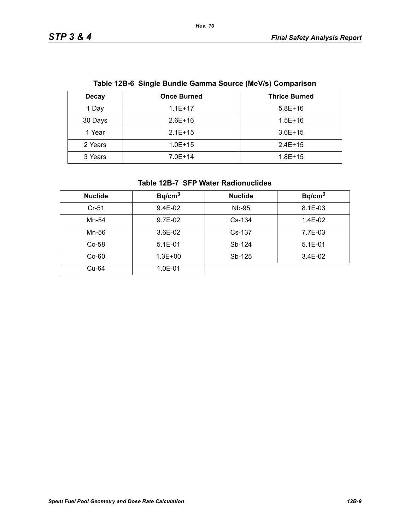| Table 12B-6 Single Bundle Gamma Source (MeV/S) Comparison |                    |                      |  |
|-----------------------------------------------------------|--------------------|----------------------|--|
| <b>Decay</b>                                              | <b>Once Burned</b> | <b>Thrice Burned</b> |  |
| 1 Day                                                     | $1.1E+17$          | $5.8E+16$            |  |
| 30 Days                                                   | $2.6E+16$          | $1.5E + 16$          |  |
| 1 Year                                                    | $2.1E+15$          | $3.6E+15$            |  |
| 2 Years                                                   | $1.0E + 15$        | $2.4E+15$            |  |
| 3 Years                                                   | $7.0E + 14$        | $1.8E + 15$          |  |

# **Table 12B-6 Single Bundle Gamma Source (MeV/s) Comparison**

*Rev. 10*

### **Table 12B-7 SFP Water Radionuclides**

| <b>Nuclide</b> | Bq/cm <sup>3</sup> | <b>Nuclide</b> | Bq/cm <sup>3</sup> |
|----------------|--------------------|----------------|--------------------|
| $Cr-51$        | $9.4E-02$          | Nb-95          | 8.1E-03            |
| Mn-54          | 9.7E-02            | $Cs-134$       | 1.4E-02            |
| Mn-56          | 3.6E-02            | Cs-137         | 7.7E-03            |
| $Co-58$        | $5.1E-01$          | Sb-124         | $5.1E - 01$        |
| $Co-60$        | $1.3E + 00$        | Sb-125         | $3.4E-02$          |
| Cu-64          | $1.0E - 01$        |                |                    |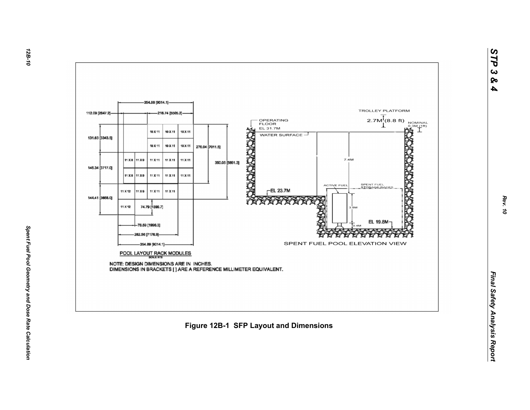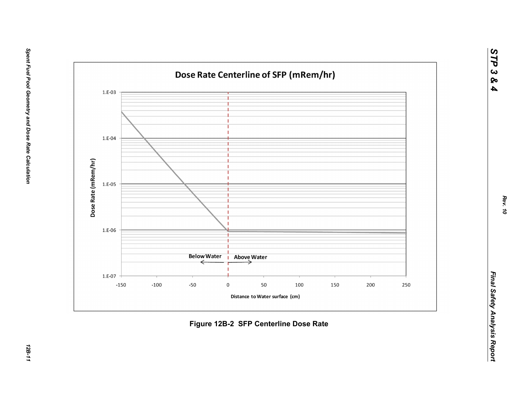